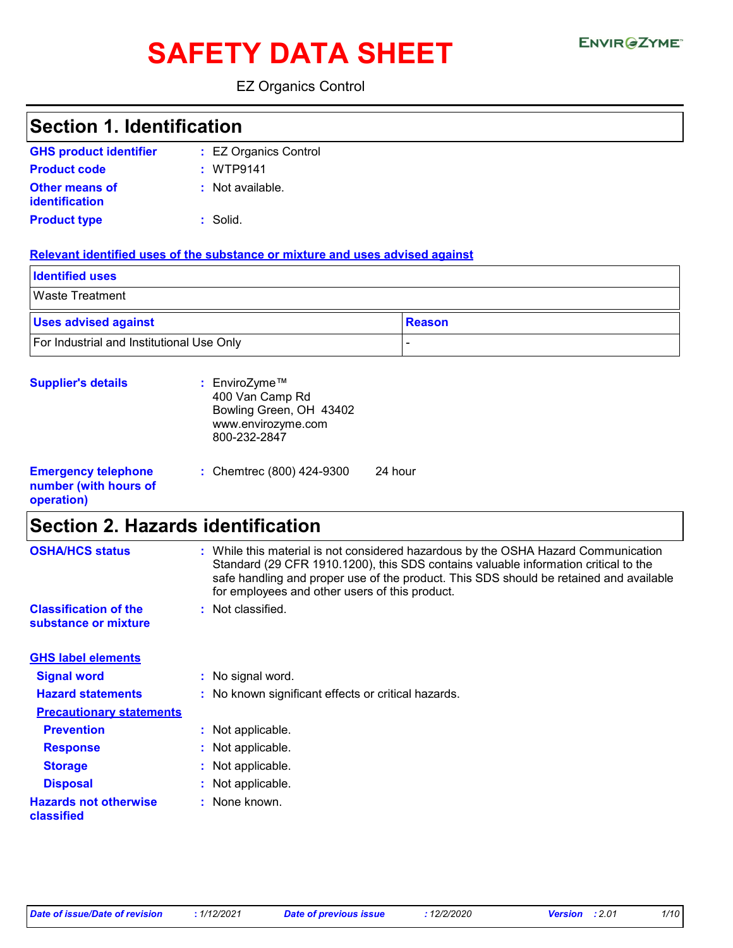# SAFETY DATA SHEET ENVIRGETMEN

EZ Organics Control

| <b>Section 1. Identification</b>                                               |                                                                                                                                                                                                                                                                                                                                            |  |  |
|--------------------------------------------------------------------------------|--------------------------------------------------------------------------------------------------------------------------------------------------------------------------------------------------------------------------------------------------------------------------------------------------------------------------------------------|--|--|
| <b>GHS product identifier</b>                                                  | : EZ Organics Control                                                                                                                                                                                                                                                                                                                      |  |  |
| <b>Product code</b>                                                            | : WTP9141                                                                                                                                                                                                                                                                                                                                  |  |  |
| Other means of<br><b>identification</b>                                        | : Not available.                                                                                                                                                                                                                                                                                                                           |  |  |
| <b>Product type</b>                                                            | $:$ Solid.                                                                                                                                                                                                                                                                                                                                 |  |  |
|                                                                                | Relevant identified uses of the substance or mixture and uses advised against                                                                                                                                                                                                                                                              |  |  |
| <b>Identified uses</b>                                                         |                                                                                                                                                                                                                                                                                                                                            |  |  |
| <b>Waste Treatment</b>                                                         |                                                                                                                                                                                                                                                                                                                                            |  |  |
| <b>Uses advised against</b>                                                    | <b>Reason</b>                                                                                                                                                                                                                                                                                                                              |  |  |
| For Industrial and Institutional Use Only                                      |                                                                                                                                                                                                                                                                                                                                            |  |  |
| <b>Supplier's details</b>                                                      | : EnviroZyme™<br>400 Van Camp Rd<br>Bowling Green, OH 43402<br>www.envirozyme.com<br>800-232-2847                                                                                                                                                                                                                                          |  |  |
| <b>Emergency telephone</b><br>number (with hours of<br>operation)              | 24 hour<br>: Chemtrec (800) 424-9300                                                                                                                                                                                                                                                                                                       |  |  |
| <b>Section 2. Hazards identification</b>                                       |                                                                                                                                                                                                                                                                                                                                            |  |  |
| <b>OSHA/HCS status</b><br><b>Classification of the</b><br>substance or mixture | : While this material is not considered hazardous by the OSHA Hazard Communication<br>Standard (29 CFR 1910.1200), this SDS contains valuable information critical to the<br>safe handling and proper use of the product. This SDS should be retained and available<br>for employees and other users of this product.<br>: Not classified. |  |  |
| <b>GHS label elements</b>                                                      |                                                                                                                                                                                                                                                                                                                                            |  |  |
| <b>Signal word</b>                                                             | : No signal word.                                                                                                                                                                                                                                                                                                                          |  |  |
| <b>Hazard statements</b>                                                       | No known significant effects or critical hazards.                                                                                                                                                                                                                                                                                          |  |  |
| <b>Precautionary statements</b>                                                |                                                                                                                                                                                                                                                                                                                                            |  |  |
| <b>Prevention</b>                                                              | : Not applicable.                                                                                                                                                                                                                                                                                                                          |  |  |
| <b>Response</b>                                                                | Not applicable.                                                                                                                                                                                                                                                                                                                            |  |  |
| <b>Storage</b>                                                                 | Not applicable.<br>÷.                                                                                                                                                                                                                                                                                                                      |  |  |
| <b>Disposal</b>                                                                | Not applicable.                                                                                                                                                                                                                                                                                                                            |  |  |
| <b>Hazards not otherwise</b><br>classified                                     | None known.<br>t.                                                                                                                                                                                                                                                                                                                          |  |  |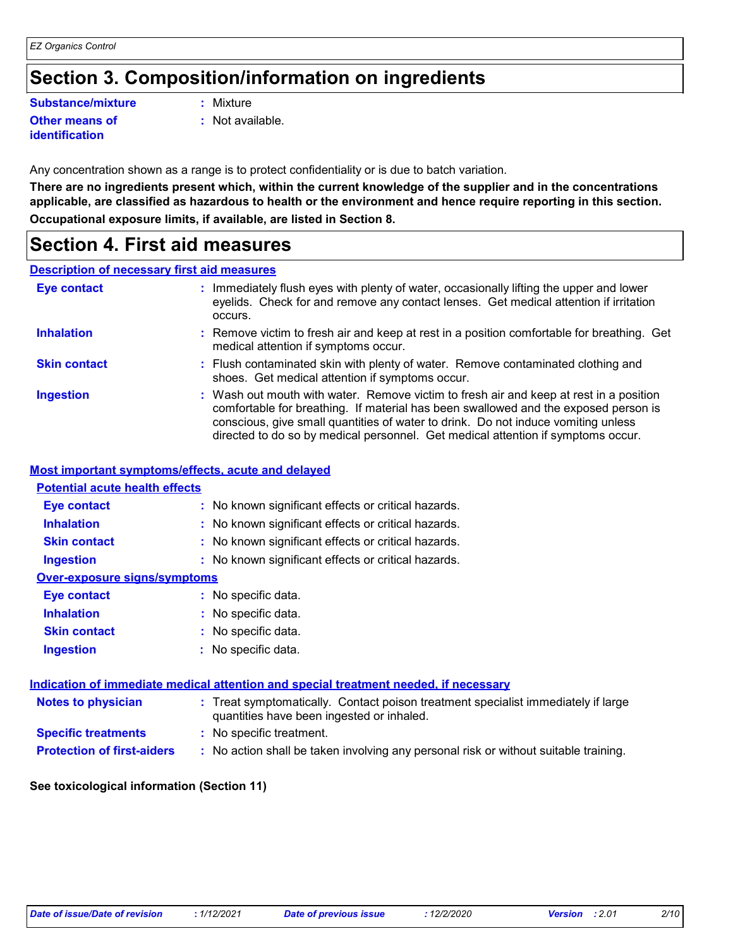### **Section 3. Composition/information on ingredients**

### **Substance/mixture :**

#### **Other means of identification**

- Mixture
- **:** Not available.

Any concentration shown as a range is to protect confidentiality or is due to batch variation.

**There are no ingredients present which, within the current knowledge of the supplier and in the concentrations applicable, are classified as hazardous to health or the environment and hence require reporting in this section. Occupational exposure limits, if available, are listed in Section 8.**

### **Section 4. First aid measures**

### **Description of necessary first aid measures**

| <b>Eye contact</b>  | : Immediately flush eyes with plenty of water, occasionally lifting the upper and lower<br>eyelids. Check for and remove any contact lenses. Get medical attention if irritation<br>occurs.                                                                                                                                                            |
|---------------------|--------------------------------------------------------------------------------------------------------------------------------------------------------------------------------------------------------------------------------------------------------------------------------------------------------------------------------------------------------|
| <b>Inhalation</b>   | : Remove victim to fresh air and keep at rest in a position comfortable for breathing. Get<br>medical attention if symptoms occur.                                                                                                                                                                                                                     |
| <b>Skin contact</b> | : Flush contaminated skin with plenty of water. Remove contaminated clothing and<br>shoes. Get medical attention if symptoms occur.                                                                                                                                                                                                                    |
| <b>Ingestion</b>    | : Wash out mouth with water. Remove victim to fresh air and keep at rest in a position<br>comfortable for breathing. If material has been swallowed and the exposed person is<br>conscious, give small quantities of water to drink. Do not induce vomiting unless<br>directed to do so by medical personnel. Get medical attention if symptoms occur. |

#### **Most important symptoms/effects, acute and delayed**

### **Notes to physician <b>:** Treat symptomatically. Contact poison treatment specialist immediately if large quantities have been ingested or inhaled. **Specific treatments :** No specific treatment. **Inhalation <b>:** No known significant effects or critical hazards. **Ingestion :** No known significant effects or critical hazards. **Skin contact :** No known significant effects or critical hazards. **Eye contact :** No known significant effects or critical hazards. **Over-exposure signs/symptoms Skin contact Ingestion Inhalation :** No specific data. No specific data. **:** No specific data. **: Eye contact :** No specific data. **Potential acute health effects Indication of immediate medical attention and special treatment needed, if necessary**

**Protection of first-aiders** : No action shall be taken involving any personal risk or without suitable training.

### **See toxicological information (Section 11)**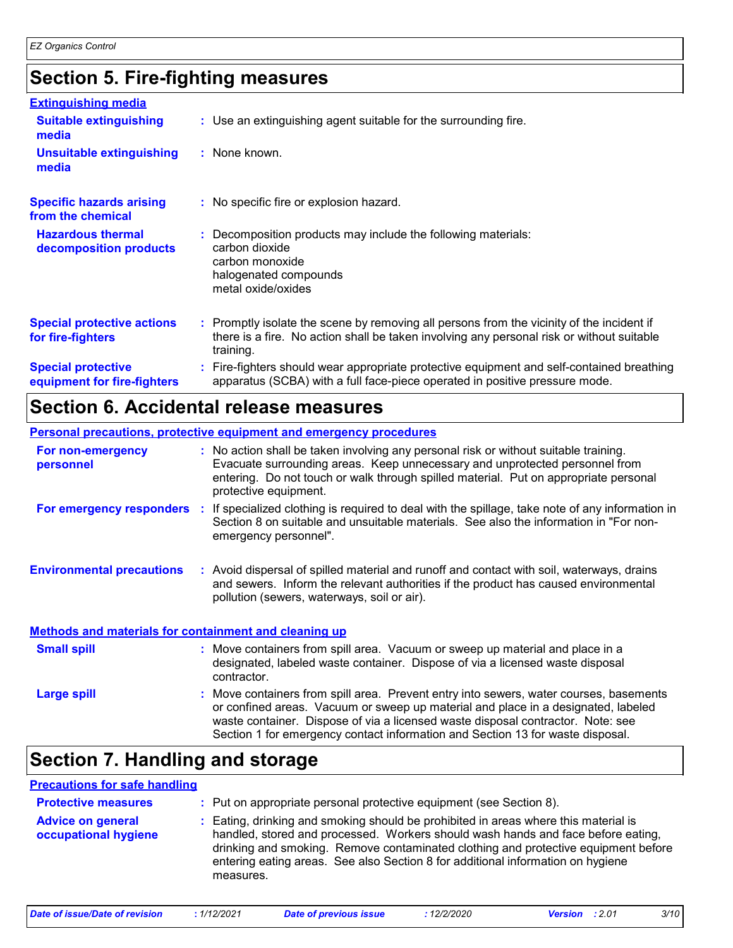# **Section 5. Fire-fighting measures**

| <b>Extinguishing media</b>                               |                                                                                                                                                                                                     |
|----------------------------------------------------------|-----------------------------------------------------------------------------------------------------------------------------------------------------------------------------------------------------|
| <b>Suitable extinguishing</b><br>media                   | : Use an extinguishing agent suitable for the surrounding fire.                                                                                                                                     |
| <b>Unsuitable extinguishing</b><br>media                 | : None known.                                                                                                                                                                                       |
| <b>Specific hazards arising</b><br>from the chemical     | : No specific fire or explosion hazard.                                                                                                                                                             |
| <b>Hazardous thermal</b><br>decomposition products       | Decomposition products may include the following materials:<br>carbon dioxide<br>carbon monoxide<br>halogenated compounds<br>metal oxide/oxides                                                     |
| <b>Special protective actions</b><br>for fire-fighters   | : Promptly isolate the scene by removing all persons from the vicinity of the incident if<br>there is a fire. No action shall be taken involving any personal risk or without suitable<br>training. |
| <b>Special protective</b><br>equipment for fire-fighters | Fire-fighters should wear appropriate protective equipment and self-contained breathing<br>apparatus (SCBA) with a full face-piece operated in positive pressure mode.                              |

### **Section 6. Accidental release measures**

|                                                              | <b>Personal precautions, protective equipment and emergency procedures</b>                                                                                                                                                                                                           |
|--------------------------------------------------------------|--------------------------------------------------------------------------------------------------------------------------------------------------------------------------------------------------------------------------------------------------------------------------------------|
| For non-emergency<br>personnel                               | : No action shall be taken involving any personal risk or without suitable training.<br>Evacuate surrounding areas. Keep unnecessary and unprotected personnel from<br>entering. Do not touch or walk through spilled material. Put on appropriate personal<br>protective equipment. |
| For emergency responders                                     | If specialized clothing is required to deal with the spillage, take note of any information in<br>-11<br>Section 8 on suitable and unsuitable materials. See also the information in "For non-<br>emergency personnel".                                                              |
| <b>Environmental precautions</b>                             | : Avoid dispersal of spilled material and runoff and contact with soil, waterways, drains<br>and sewers. Inform the relevant authorities if the product has caused environmental<br>pollution (sewers, waterways, soil or air).                                                      |
| <b>Methods and materials for containment and cleaning up</b> |                                                                                                                                                                                                                                                                                      |
| <b>Small spill</b>                                           | : Move containers from spill area. Vacuum or sweep up material and place in a<br>designated, labeled waste container. Dispose of via a licensed waste disposal<br>contractor.                                                                                                        |

: Move containers from spill area. Prevent entry into sewers, water courses, basements or confined areas. Vacuum or sweep up material and place in a designated, labeled waste container. Dispose of via a licensed waste disposal contractor. Note: see Section 1 for emergency contact information and Section 13 for waste disposal. **Large spill :**

### **Section 7. Handling and storage**

### **Precautions for safe handling**

| <b>Protective measures</b>                       | : Put on appropriate personal protective equipment (see Section 8).                                                                                                                                                                                                                                                                                           |
|--------------------------------------------------|---------------------------------------------------------------------------------------------------------------------------------------------------------------------------------------------------------------------------------------------------------------------------------------------------------------------------------------------------------------|
| <b>Advice on general</b><br>occupational hygiene | : Eating, drinking and smoking should be prohibited in areas where this material is<br>handled, stored and processed. Workers should wash hands and face before eating,<br>drinking and smoking. Remove contaminated clothing and protective equipment before<br>entering eating areas. See also Section 8 for additional information on hygiene<br>measures. |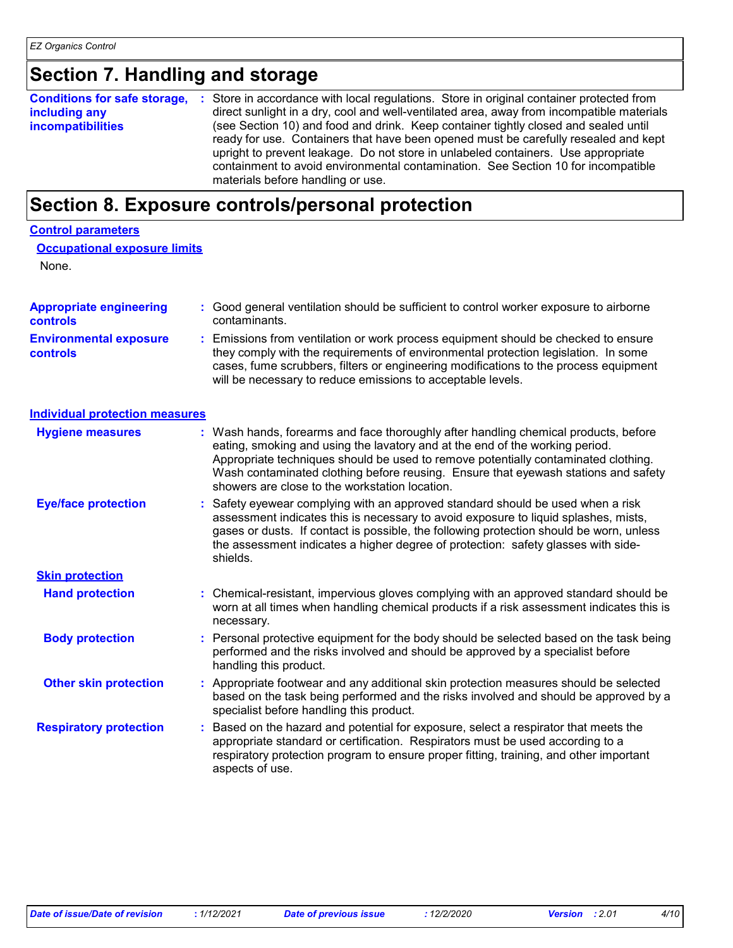| Section 7. Handling and storage                                           |                                                                                                                                                                                                                                                                                                                                                                                                                                                                                                                                                                                  |
|---------------------------------------------------------------------------|----------------------------------------------------------------------------------------------------------------------------------------------------------------------------------------------------------------------------------------------------------------------------------------------------------------------------------------------------------------------------------------------------------------------------------------------------------------------------------------------------------------------------------------------------------------------------------|
| <b>Conditions for safe storage,</b><br>including any<br>incompatibilities | Store in accordance with local regulations. Store in original container protected from<br>direct sunlight in a dry, cool and well-ventilated area, away from incompatible materials<br>(see Section 10) and food and drink. Keep container tightly closed and sealed until<br>ready for use. Containers that have been opened must be carefully resealed and kept<br>upright to prevent leakage. Do not store in unlabeled containers. Use appropriate<br>containment to avoid environmental contamination. See Section 10 for incompatible<br>materials before handling or use. |
|                                                                           | Section 8. Exposure controls/personal protection                                                                                                                                                                                                                                                                                                                                                                                                                                                                                                                                 |
| <b>Control parameters</b><br><b>Occupational exposure limits</b><br>None. |                                                                                                                                                                                                                                                                                                                                                                                                                                                                                                                                                                                  |
| <b>Appropriate engineering</b><br>controls                                | Good general ventilation should be sufficient to control worker exposure to airborne<br>contaminants.                                                                                                                                                                                                                                                                                                                                                                                                                                                                            |
| <b>Environmental exposure</b><br>controls                                 | Emissions from ventilation or work process equipment should be checked to ensure<br>they comply with the requirements of environmental protection legislation. In some<br>cases, fume scrubbers, filters or engineering modifications to the process equipment<br>will be necessary to reduce emissions to acceptable levels.                                                                                                                                                                                                                                                    |
| <b>Individual protection measures</b>                                     |                                                                                                                                                                                                                                                                                                                                                                                                                                                                                                                                                                                  |
| <b>Hygiene measures</b>                                                   | : Wash hands, forearms and face thoroughly after handling chemical products, before<br>eating, smoking and using the lavatory and at the end of the working period.<br>Appropriate techniques should be used to remove potentially contaminated clothing.<br>Wash contaminated clothing before reusing. Ensure that eyewash stations and safety<br>showers are close to the workstation location.                                                                                                                                                                                |
| <b>Eye/face protection</b>                                                | Safety eyewear complying with an approved standard should be used when a risk<br>assessment indicates this is necessary to avoid exposure to liquid splashes, mists,<br>gases or dusts. If contact is possible, the following protection should be worn, unless<br>the assessment indicates a higher degree of protection: safety glasses with side-<br>shields.                                                                                                                                                                                                                 |
| <b>Skin protection</b>                                                    |                                                                                                                                                                                                                                                                                                                                                                                                                                                                                                                                                                                  |
| <b>Hand protection</b>                                                    | : Chemical-resistant, impervious gloves complying with an approved standard should be<br>worn at all times when handling chemical products if a risk assessment indicates this is<br>necessary.                                                                                                                                                                                                                                                                                                                                                                                  |
| <b>Body protection</b>                                                    | Personal protective equipment for the body should be selected based on the task being<br>performed and the risks involved and should be approved by a specialist before<br>handling this product.                                                                                                                                                                                                                                                                                                                                                                                |
| <b>Other skin protection</b>                                              | Appropriate footwear and any additional skin protection measures should be selected<br>based on the task being performed and the risks involved and should be approved by a<br>specialist before handling this product.                                                                                                                                                                                                                                                                                                                                                          |
| <b>Respiratory protection</b>                                             | Based on the hazard and potential for exposure, select a respirator that meets the<br>appropriate standard or certification. Respirators must be used according to a<br>respiratory protection program to ensure proper fitting, training, and other important<br>aspects of use.                                                                                                                                                                                                                                                                                                |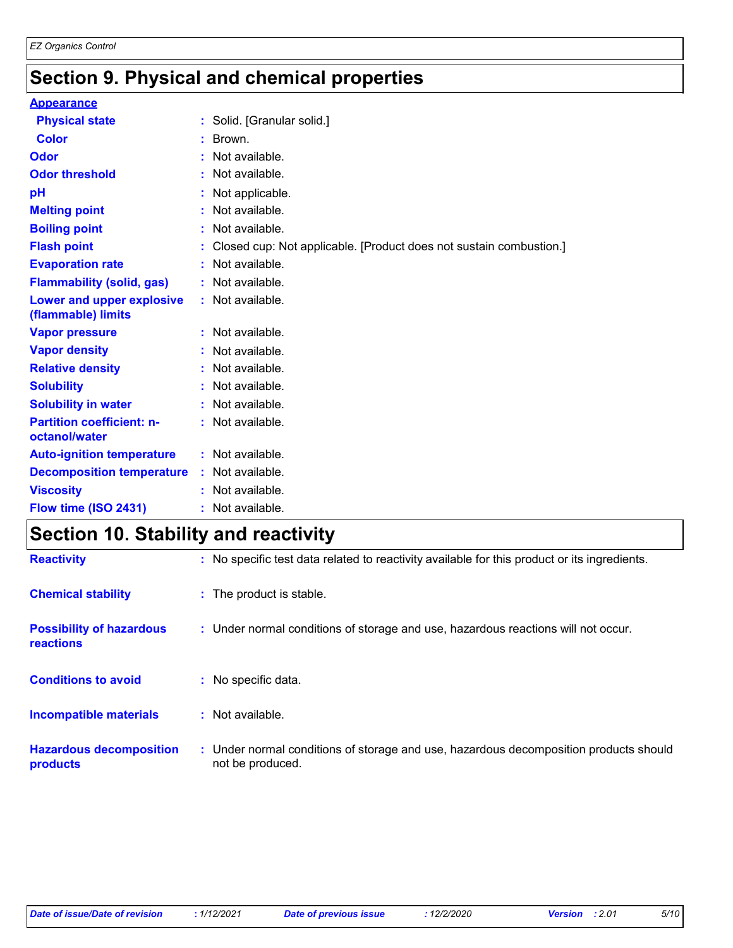# **Section 9. Physical and chemical properties**

| <b>Appearance</b>                                      |                                                                      |
|--------------------------------------------------------|----------------------------------------------------------------------|
| <b>Physical state</b>                                  | : Solid. [Granular solid.]                                           |
| <b>Color</b>                                           | $:$ Brown.                                                           |
| <b>Odor</b>                                            | : Not available.                                                     |
| <b>Odor threshold</b>                                  | : Not available.                                                     |
| рH                                                     | : Not applicable.                                                    |
| <b>Melting point</b>                                   | : Not available.                                                     |
| <b>Boiling point</b>                                   | : Not available.                                                     |
| <b>Flash point</b>                                     | : Closed cup: Not applicable. [Product does not sustain combustion.] |
| <b>Evaporation rate</b>                                | : Not available.                                                     |
| <b>Flammability (solid, gas)</b>                       | : Not available.                                                     |
| <b>Lower and upper explosive</b><br>(flammable) limits | : Not available.                                                     |
| <b>Vapor pressure</b>                                  | : Not available.                                                     |
| <b>Vapor density</b>                                   | : Not available.                                                     |
| <b>Relative density</b>                                | : Not available.                                                     |
| <b>Solubility</b>                                      | : Not available.                                                     |
| <b>Solubility in water</b>                             | : Not available.                                                     |
| <b>Partition coefficient: n-</b><br>octanol/water      | : Not available.                                                     |
| <b>Auto-ignition temperature</b>                       | : Not available.                                                     |
| <b>Decomposition temperature : Not available.</b>      |                                                                      |
| <b>Viscosity</b>                                       | : Not available.                                                     |
| Flow time (ISO 2431)                                   | : Not available.                                                     |

# **Section 10. Stability and reactivity**

| <b>Reactivity</b>                            | : No specific test data related to reactivity available for this product or its ingredients.              |
|----------------------------------------------|-----------------------------------------------------------------------------------------------------------|
| <b>Chemical stability</b>                    | : The product is stable.                                                                                  |
| <b>Possibility of hazardous</b><br>reactions | : Under normal conditions of storage and use, hazardous reactions will not occur.                         |
| <b>Conditions to avoid</b>                   | : No specific data.                                                                                       |
| Incompatible materials                       | $:$ Not available.                                                                                        |
| <b>Hazardous decomposition</b><br>products   | : Under normal conditions of storage and use, hazardous decomposition products should<br>not be produced. |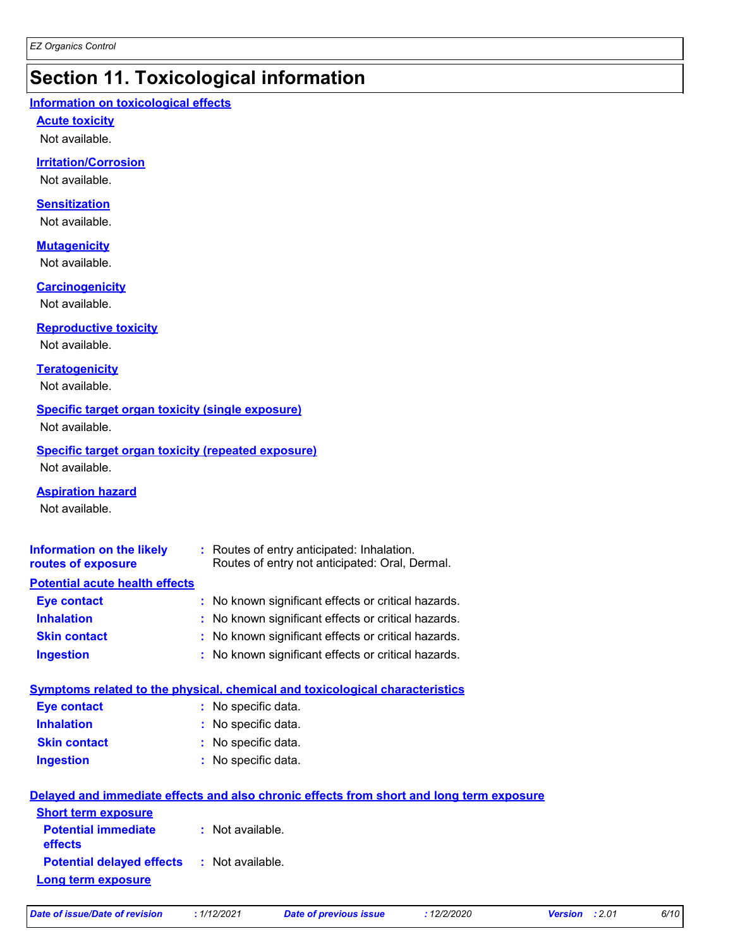# **Section 11. Toxicological information**

#### **Information on toxicological effects**

#### **Acute toxicity**

Not available.

### **Irritation/Corrosion**

Not available.

#### **Sensitization**

Not available.

#### **Mutagenicity**

Not available.

#### **Carcinogenicity**

Not available.

#### **Reproductive toxicity**

Not available.

### **Teratogenicity**

Not available.

#### **Specific target organ toxicity (single exposure)**

Not available.

### **Specific target organ toxicity (repeated exposure)**

Not available.

#### **Aspiration hazard**

Not available.

| <b>Information on the likely</b><br>routes of exposure                       |  | : Routes of entry anticipated: Inhalation.<br>Routes of entry not anticipated: Oral, Dermal. |  |  |
|------------------------------------------------------------------------------|--|----------------------------------------------------------------------------------------------|--|--|
| <b>Potential acute health effects</b>                                        |  |                                                                                              |  |  |
| <b>Eye contact</b>                                                           |  | : No known significant effects or critical hazards.                                          |  |  |
| <b>Inhalation</b>                                                            |  | : No known significant effects or critical hazards.                                          |  |  |
| <b>Skin contact</b>                                                          |  | : No known significant effects or critical hazards.                                          |  |  |
| <b>Ingestion</b>                                                             |  | : No known significant effects or critical hazards.                                          |  |  |
| Symptoms related to the physical, chemical and toxicological characteristics |  |                                                                                              |  |  |

| Eye contact         | : No specific data. |
|---------------------|---------------------|
| <b>Inhalation</b>   | : No specific data. |
| <b>Skin contact</b> | : No specific data. |
| <b>Ingestion</b>    | : No specific data. |

|                                                   | Delayed and immediate effects and also chronic effects from short and long term exposure |
|---------------------------------------------------|------------------------------------------------------------------------------------------|
| <b>Short term exposure</b>                        |                                                                                          |
| <b>Potential immediate</b><br><b>effects</b>      | : Not available.                                                                         |
| <b>Potential delayed effects : Not available.</b> |                                                                                          |
| Long term exposure                                |                                                                                          |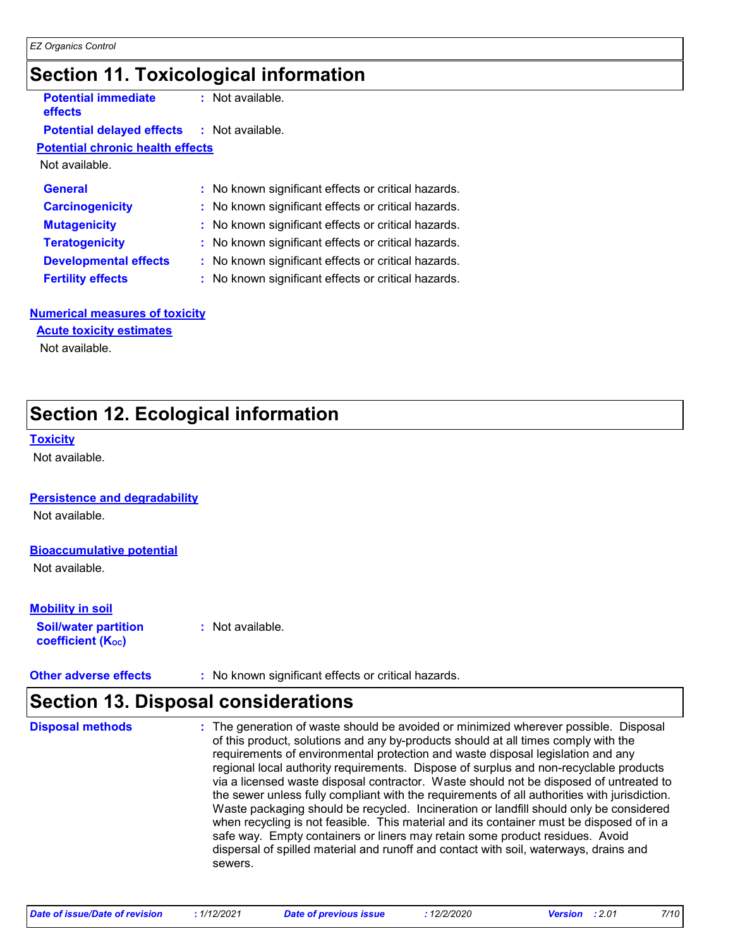### **Section 11. Toxicological information**

**Potential immediate effects**

**:** Not available.

### **Potential delayed effects :** Not available.

**Potential chronic health effects**

Not available.

| <b>General</b>               | : No known significant effects or critical hazards. |
|------------------------------|-----------------------------------------------------|
| <b>Carcinogenicity</b>       | : No known significant effects or critical hazards. |
| <b>Mutagenicity</b>          | : No known significant effects or critical hazards. |
| <b>Teratogenicity</b>        | : No known significant effects or critical hazards. |
| <b>Developmental effects</b> | : No known significant effects or critical hazards. |
| <b>Fertility effects</b>     | : No known significant effects or critical hazards. |

#### **Numerical measures of toxicity**

**Acute toxicity estimates**

Not available.

# **Section 12. Ecological information**

#### **Toxicity**

Not available.

#### **Persistence and degradability**

Not available.

#### **Bioaccumulative potential**

Not available.

### **Mobility in soil**

**Soil/water partition coefficient (Koc)** 

**:** Not available.

**Other adverse effects** : No known significant effects or critical hazards.

# **Section 13. Disposal considerations**

The generation of waste should be avoided or minimized wherever possible. Disposal of this product, solutions and any by-products should at all times comply with the requirements of environmental protection and waste disposal legislation and any regional local authority requirements. Dispose of surplus and non-recyclable products via a licensed waste disposal contractor. Waste should not be disposed of untreated to the sewer unless fully compliant with the requirements of all authorities with jurisdiction. Waste packaging should be recycled. Incineration or landfill should only be considered when recycling is not feasible. This material and its container must be disposed of in a safe way. Empty containers or liners may retain some product residues. Avoid dispersal of spilled material and runoff and contact with soil, waterways, drains and sewers. **Disposal methods :**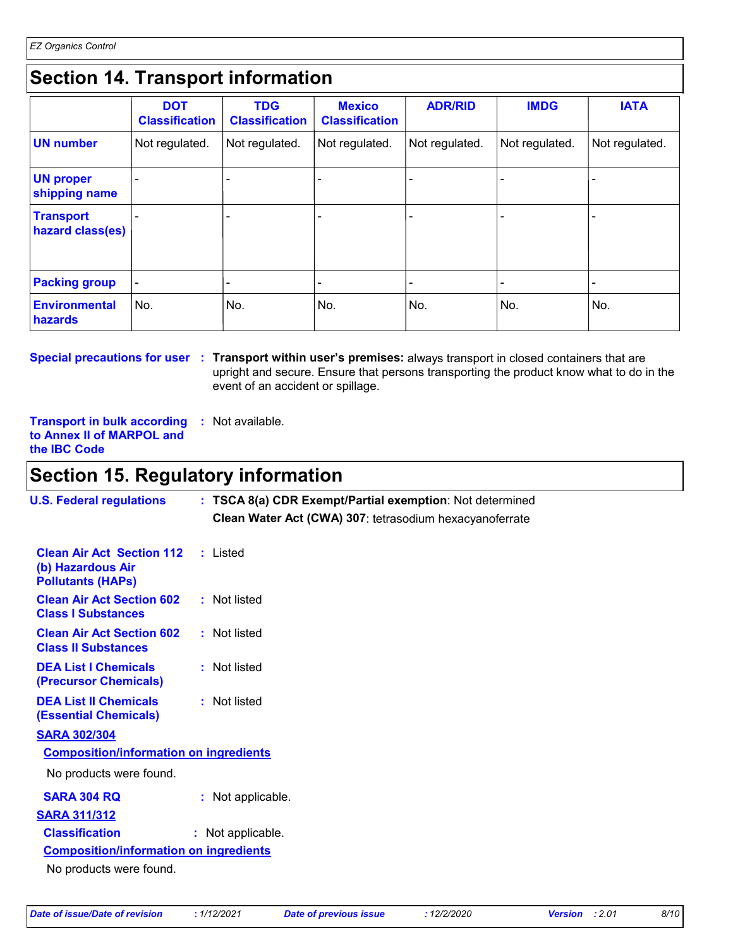# **Section 14. Transport information**

|                                      | <b>DOT</b><br><b>Classification</b> | <b>TDG</b><br><b>Classification</b> | <b>Mexico</b><br><b>Classification</b> | <b>ADR/RID</b> | <b>IMDG</b>    | <b>IATA</b>    |
|--------------------------------------|-------------------------------------|-------------------------------------|----------------------------------------|----------------|----------------|----------------|
| <b>UN number</b>                     | Not regulated.                      | Not regulated.                      | Not regulated.                         | Not regulated. | Not regulated. | Not regulated. |
| <b>UN proper</b><br>shipping name    |                                     |                                     |                                        |                |                |                |
| <b>Transport</b><br>hazard class(es) |                                     |                                     |                                        |                |                |                |
| <b>Packing group</b>                 |                                     |                                     |                                        |                |                |                |
| <b>Environmental</b><br>hazards      | No.                                 | No.                                 | No.                                    | No.            | No.            | No.            |

**Special precautions for user** : Transport within user's premises: always transport in closed containers that are upright and secure. Ensure that persons transporting the product know what to do in the event of an accident or spillage.

**Transport in bulk according :** Not available. **to Annex II of MARPOL and the IBC Code**

### **Section 15. Regulatory information**

| <b>U.S. Federal regulations</b>                                                   | : TSCA 8(a) CDR Exempt/Partial exemption: Not determined<br>Clean Water Act (CWA) 307: tetrasodium hexacyanoferrate |
|-----------------------------------------------------------------------------------|---------------------------------------------------------------------------------------------------------------------|
| <b>Clean Air Act Section 112</b><br>(b) Hazardous Air<br><b>Pollutants (HAPS)</b> | : Listed                                                                                                            |
| <b>Clean Air Act Section 602</b><br><b>Class I Substances</b>                     | : Not listed                                                                                                        |
| <b>Clean Air Act Section 602</b><br><b>Class II Substances</b>                    | : Not listed                                                                                                        |
| <b>DEA List I Chemicals</b><br><b>(Precursor Chemicals)</b>                       | : Not listed                                                                                                        |
| <b>DEA List II Chemicals</b><br><b>(Essential Chemicals)</b>                      | : Not listed                                                                                                        |
| <b>SARA 302/304</b>                                                               |                                                                                                                     |
| <b>Composition/information on ingredients</b>                                     |                                                                                                                     |
| No products were found.                                                           |                                                                                                                     |
| <b>SARA 304 RQ</b>                                                                | : Not applicable.                                                                                                   |
| <b>SARA 311/312</b>                                                               |                                                                                                                     |
| <b>Classification</b>                                                             | : Not applicable.                                                                                                   |
| <b>Composition/information on ingredients</b>                                     |                                                                                                                     |
| No products were found.                                                           |                                                                                                                     |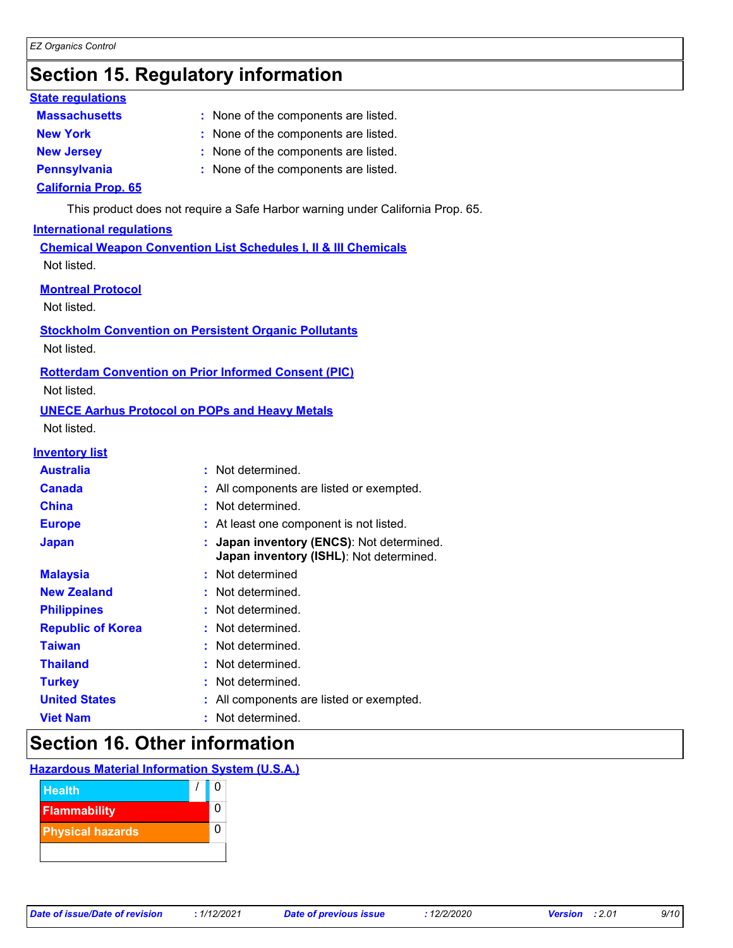# **Section 15. Regulatory information**

### **State regulations**

- : None of the components are listed. **Massachusetts : New York :** None of the components are listed. **New Jersey :** None of the components are listed. **Pennsylvania :** None of the components are listed.
	-
- 

### **California Prop. 65**

This product does not require a Safe Harbor warning under California Prop. 65.

### **International regulations**

**Chemical Weapon Convention List Schedules I, II & III Chemicals** Not listed.

### **Montreal Protocol**

Not listed.

### **Stockholm Convention on Persistent Organic Pollutants**

Not listed.

### **Rotterdam Convention on Prior Informed Consent (PIC)**

Not listed.

### **UNECE Aarhus Protocol on POPs and Heavy Metals**

Not listed.

### **Inventory list**

| <b>Australia</b>         | : Not determined.                                                                    |
|--------------------------|--------------------------------------------------------------------------------------|
| <b>Canada</b>            | : All components are listed or exempted.                                             |
| <b>China</b>             | : Not determined.                                                                    |
| <b>Europe</b>            | : At least one component is not listed.                                              |
| <b>Japan</b>             | : Japan inventory (ENCS): Not determined.<br>Japan inventory (ISHL): Not determined. |
| <b>Malaysia</b>          | : Not determined                                                                     |
| <b>New Zealand</b>       | : Not determined.                                                                    |
| <b>Philippines</b>       | : Not determined.                                                                    |
| <b>Republic of Korea</b> | : Not determined.                                                                    |
| <b>Taiwan</b>            | : Not determined.                                                                    |
| <b>Thailand</b>          | : Not determined.                                                                    |
| <b>Turkey</b>            | : Not determined.                                                                    |
| <b>United States</b>     | : All components are listed or exempted.                                             |
| <b>Viet Nam</b>          | Not determined.                                                                      |

### **Section 16. Other information**

**Hazardous Material Information System (U.S.A.)**

| <b>Health</b>           |  |  |
|-------------------------|--|--|
| <b>Flammability</b>     |  |  |
| <b>Physical hazards</b> |  |  |
|                         |  |  |